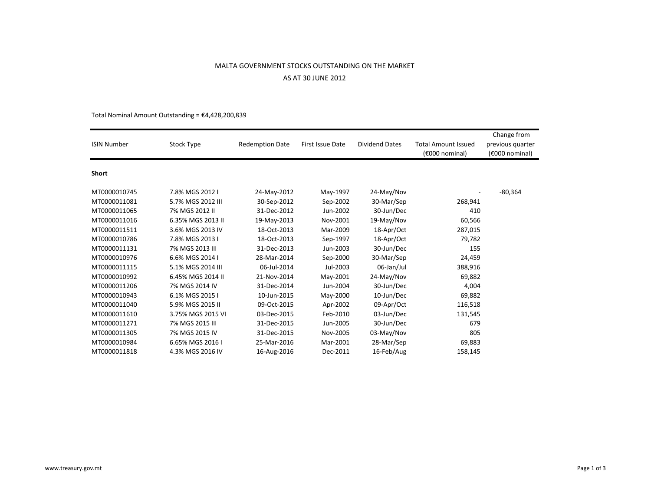## MALTA GOVERNMENT STOCKS OUTSTANDING ON THE MARKETAS AT 30 JUNE 2012

| <b>ISIN Number</b> | Stock Type        | <b>Redemption Date</b> | First Issue Date | <b>Dividend Dates</b> | <b>Total Amount Issued</b><br>$(6000)$ nominal | Change from<br>previous quarter<br>$(6000)$ nominal |
|--------------------|-------------------|------------------------|------------------|-----------------------|------------------------------------------------|-----------------------------------------------------|
| Short              |                   |                        |                  |                       |                                                |                                                     |
| MT0000010745       | 7.8% MGS 2012 I   | 24-May-2012            | May-1997         | 24-May/Nov            |                                                | -80,364                                             |
| MT0000011081       | 5.7% MGS 2012 III | 30-Sep-2012            | Sep-2002         | 30-Mar/Sep            | 268,941                                        |                                                     |
| MT0000011065       | 7% MGS 2012 II    | 31-Dec-2012            | Jun-2002         | 30-Jun/Dec            | 410                                            |                                                     |
| MT0000011016       | 6.35% MGS 2013 II | 19-May-2013            | Nov-2001         | 19-May/Nov            | 60,566                                         |                                                     |
| MT0000011511       | 3.6% MGS 2013 IV  | 18-Oct-2013            | Mar-2009         | 18-Apr/Oct            | 287,015                                        |                                                     |
| MT0000010786       | 7.8% MGS 2013 I   | 18-Oct-2013            | Sep-1997         | 18-Apr/Oct            | 79,782                                         |                                                     |
| MT0000011131       | 7% MGS 2013 III   | 31-Dec-2013            | Jun-2003         | 30-Jun/Dec            | 155                                            |                                                     |
| MT0000010976       | 6.6% MGS 2014 I   | 28-Mar-2014            | Sep-2000         | 30-Mar/Sep            | 24,459                                         |                                                     |
| MT0000011115       | 5.1% MGS 2014 III | 06-Jul-2014            | Jul-2003         | 06-Jan/Jul            | 388,916                                        |                                                     |
| MT0000010992       | 6.45% MGS 2014 II | 21-Nov-2014            | May-2001         | 24-May/Nov            | 69,882                                         |                                                     |
| MT0000011206       | 7% MGS 2014 IV    | 31-Dec-2014            | Jun-2004         | 30-Jun/Dec            | 4,004                                          |                                                     |
| MT0000010943       | 6.1% MGS 2015 I   | 10-Jun-2015            | May-2000         | 10-Jun/Dec            | 69,882                                         |                                                     |
| MT0000011040       | 5.9% MGS 2015 II  | 09-Oct-2015            | Apr-2002         | 09-Apr/Oct            | 116,518                                        |                                                     |
| MT0000011610       | 3.75% MGS 2015 VI | 03-Dec-2015            | Feb-2010         | 03-Jun/Dec            | 131,545                                        |                                                     |
| MT0000011271       | 7% MGS 2015 III   | 31-Dec-2015            | Jun-2005         | 30-Jun/Dec            | 679                                            |                                                     |
| MT0000011305       | 7% MGS 2015 IV    | 31-Dec-2015            | Nov-2005         | 03-May/Nov            | 805                                            |                                                     |
| MT0000010984       | 6.65% MGS 2016 I  | 25-Mar-2016            | Mar-2001         | 28-Mar/Sep            | 69,883                                         |                                                     |
| MT0000011818       | 4.3% MGS 2016 IV  | 16-Aug-2016            | Dec-2011         | 16-Feb/Aug            | 158,145                                        |                                                     |

Total Nominal Amount Outstanding = €4,428,200,8394,428,200,839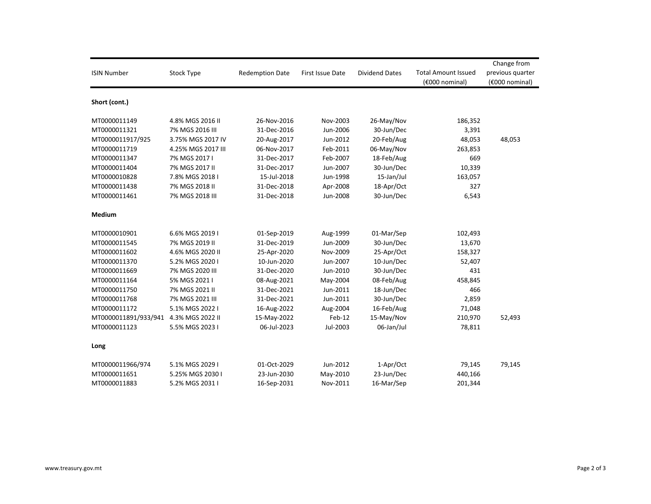| <b>ISIN Number</b>                    | <b>Stock Type</b>  | <b>Redemption Date</b> | <b>First Issue Date</b> | <b>Dividend Dates</b> | <b>Total Amount Issued</b><br>(€000 nominal) | Change from<br>previous quarter<br>(€000 nominal) |
|---------------------------------------|--------------------|------------------------|-------------------------|-----------------------|----------------------------------------------|---------------------------------------------------|
| Short (cont.)                         |                    |                        |                         |                       |                                              |                                                   |
| MT0000011149                          | 4.8% MGS 2016 II   | 26-Nov-2016            | Nov-2003                | 26-May/Nov            | 186,352                                      |                                                   |
| MT0000011321                          | 7% MGS 2016 III    | 31-Dec-2016            | Jun-2006                | 30-Jun/Dec            | 3,391                                        |                                                   |
| MT0000011917/925                      | 3.75% MGS 2017 IV  | 20-Aug-2017            | Jun-2012                | 20-Feb/Aug            | 48,053                                       | 48,053                                            |
| MT0000011719                          | 4.25% MGS 2017 III | 06-Nov-2017            | Feb-2011                | 06-May/Nov            | 263,853                                      |                                                   |
| MT0000011347                          | 7% MGS 2017 I      | 31-Dec-2017            | Feb-2007                | 18-Feb/Aug            | 669                                          |                                                   |
| MT0000011404                          | 7% MGS 2017 II     | 31-Dec-2017            | Jun-2007                | 30-Jun/Dec            | 10,339                                       |                                                   |
| MT0000010828                          | 7.8% MGS 2018 I    | 15-Jul-2018            | Jun-1998                | 15-Jan/Jul            | 163,057                                      |                                                   |
| MT0000011438                          | 7% MGS 2018 II     | 31-Dec-2018            | Apr-2008                | 18-Apr/Oct            | 327                                          |                                                   |
| MT0000011461                          | 7% MGS 2018 III    | 31-Dec-2018            | Jun-2008                | 30-Jun/Dec            | 6,543                                        |                                                   |
| <b>Medium</b>                         |                    |                        |                         |                       |                                              |                                                   |
| MT0000010901                          | 6.6% MGS 2019 I    | 01-Sep-2019            | Aug-1999                | 01-Mar/Sep            | 102,493                                      |                                                   |
| MT0000011545                          | 7% MGS 2019 II     | 31-Dec-2019            | Jun-2009                | 30-Jun/Dec            | 13,670                                       |                                                   |
| MT0000011602                          | 4.6% MGS 2020 II   | 25-Apr-2020            | Nov-2009                | 25-Apr/Oct            | 158,327                                      |                                                   |
| MT0000011370                          | 5.2% MGS 2020 I    | 10-Jun-2020            | Jun-2007                | 10-Jun/Dec            | 52,407                                       |                                                   |
| MT0000011669                          | 7% MGS 2020 III    | 31-Dec-2020            | Jun-2010                | 30-Jun/Dec            | 431                                          |                                                   |
| MT0000011164                          | 5% MGS 2021 I      | 08-Aug-2021            | May-2004                | 08-Feb/Aug            | 458,845                                      |                                                   |
| MT0000011750                          | 7% MGS 2021 II     | 31-Dec-2021            | Jun-2011                | 18-Jun/Dec            | 466                                          |                                                   |
| MT0000011768                          | 7% MGS 2021 III    | 31-Dec-2021            | Jun-2011                | 30-Jun/Dec            | 2,859                                        |                                                   |
| MT0000011172                          | 5.1% MGS 2022 I    | 16-Aug-2022            | Aug-2004                | 16-Feb/Aug            | 71,048                                       |                                                   |
| MT0000011891/933/941 4.3% MGS 2022 II |                    | 15-May-2022            | Feb-12                  | 15-May/Nov            | 210,970                                      | 52,493                                            |
| MT0000011123                          | 5.5% MGS 2023 I    | 06-Jul-2023            | Jul-2003                | 06-Jan/Jul            | 78,811                                       |                                                   |
| Long                                  |                    |                        |                         |                       |                                              |                                                   |
| MT0000011966/974                      | 5.1% MGS 2029 I    | 01-Oct-2029            | Jun-2012                | 1-Apr/Oct             | 79,145                                       | 79,145                                            |
| MT0000011651                          | 5.25% MGS 2030 I   | 23-Jun-2030            | May-2010                | 23-Jun/Dec            | 440,166                                      |                                                   |
| MT0000011883                          | 5.2% MGS 2031 I    | 16-Sep-2031            | Nov-2011                | 16-Mar/Sep            | 201,344                                      |                                                   |